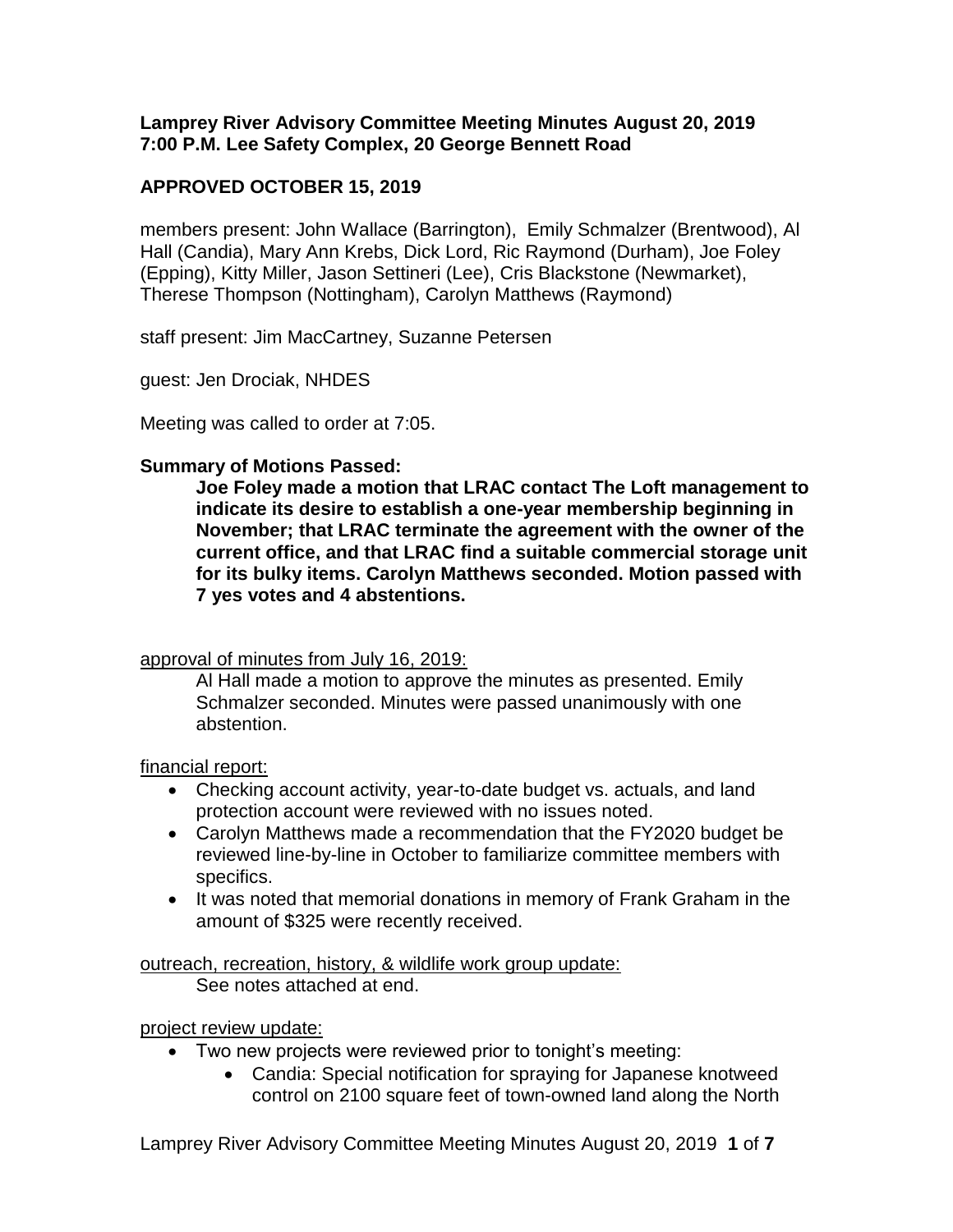# **Lamprey River Advisory Committee Meeting Minutes August 20, 2019 7:00 P.M. Lee Safety Complex, 20 George Bennett Road**

# **APPROVED OCTOBER 15, 2019**

members present: John Wallace (Barrington), Emily Schmalzer (Brentwood), Al Hall (Candia), Mary Ann Krebs, Dick Lord, Ric Raymond (Durham), Joe Foley (Epping), Kitty Miller, Jason Settineri (Lee), Cris Blackstone (Newmarket), Therese Thompson (Nottingham), Carolyn Matthews (Raymond)

staff present: Jim MacCartney, Suzanne Petersen

guest: Jen Drociak, NHDES

Meeting was called to order at 7:05.

# **Summary of Motions Passed:**

**Joe Foley made a motion that LRAC contact The Loft management to indicate its desire to establish a one-year membership beginning in November; that LRAC terminate the agreement with the owner of the current office, and that LRAC find a suitable commercial storage unit for its bulky items. Carolyn Matthews seconded. Motion passed with 7 yes votes and 4 abstentions.** 

## approval of minutes from July 16, 2019:

Al Hall made a motion to approve the minutes as presented. Emily Schmalzer seconded. Minutes were passed unanimously with one abstention.

## financial report:

- Checking account activity, year-to-date budget vs. actuals, and land protection account were reviewed with no issues noted.
- Carolyn Matthews made a recommendation that the FY2020 budget be reviewed line-by-line in October to familiarize committee members with specifics.
- It was noted that memorial donations in memory of Frank Graham in the amount of \$325 were recently received.

outreach, recreation, history, & wildlife work group update: See notes attached at end.

project review update:

- Two new projects were reviewed prior to tonight's meeting:
	- Candia: Special notification for spraying for Japanese knotweed control on 2100 square feet of town-owned land along the North

Lamprey River Advisory Committee Meeting Minutes August 20, 2019 **1** of **7**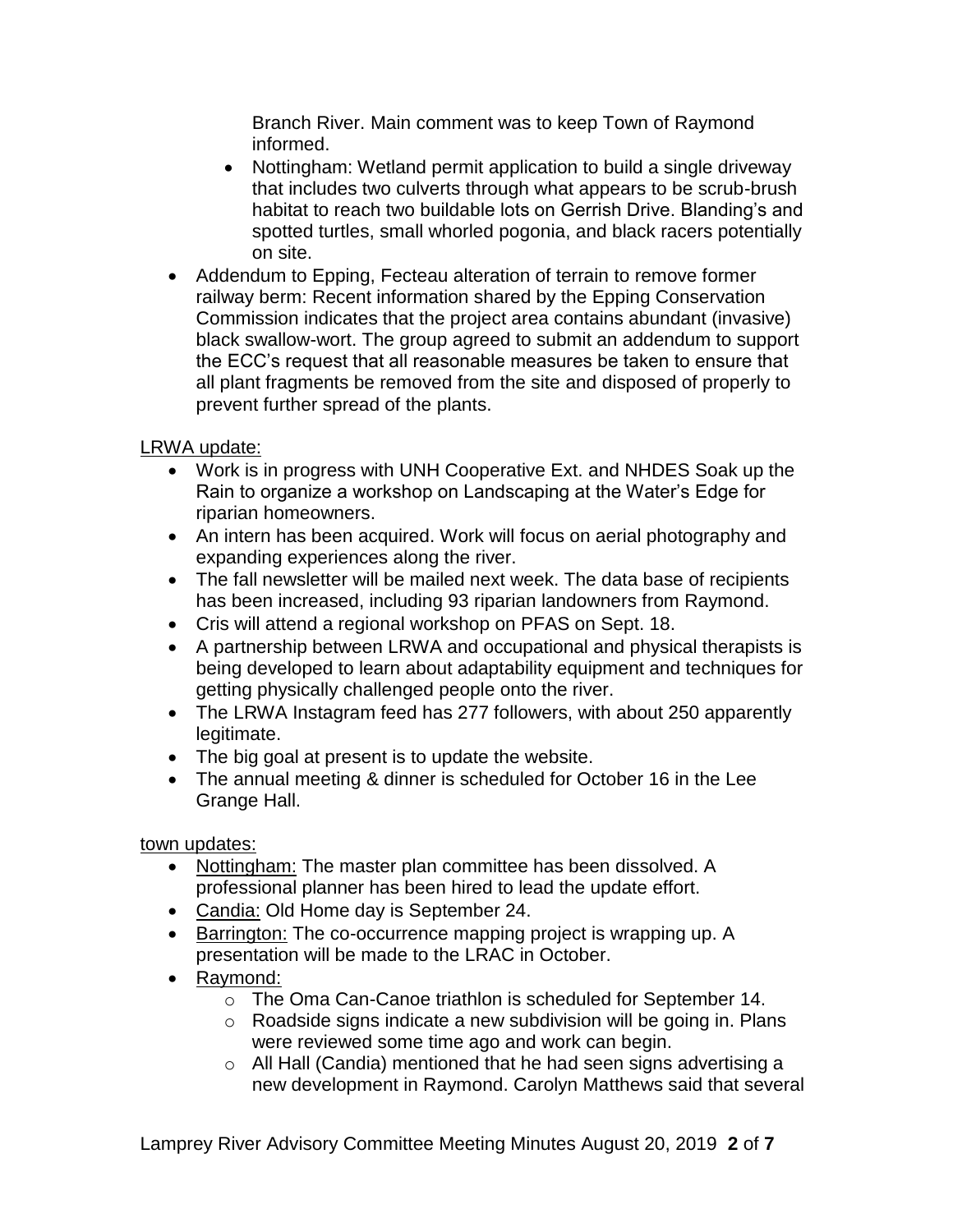Branch River. Main comment was to keep Town of Raymond informed.

- Nottingham: Wetland permit application to build a single driveway that includes two culverts through what appears to be scrub-brush habitat to reach two buildable lots on Gerrish Drive. Blanding's and spotted turtles, small whorled pogonia, and black racers potentially on site.
- Addendum to Epping, Fecteau alteration of terrain to remove former railway berm: Recent information shared by the Epping Conservation Commission indicates that the project area contains abundant (invasive) black swallow-wort. The group agreed to submit an addendum to support the ECC's request that all reasonable measures be taken to ensure that all plant fragments be removed from the site and disposed of properly to prevent further spread of the plants.

# LRWA update:

- Work is in progress with UNH Cooperative Ext. and NHDES Soak up the Rain to organize a workshop on Landscaping at the Water's Edge for riparian homeowners.
- An intern has been acquired. Work will focus on aerial photography and expanding experiences along the river.
- The fall newsletter will be mailed next week. The data base of recipients has been increased, including 93 riparian landowners from Raymond.
- Cris will attend a regional workshop on PFAS on Sept. 18.
- A partnership between LRWA and occupational and physical therapists is being developed to learn about adaptability equipment and techniques for getting physically challenged people onto the river.
- The LRWA Instagram feed has 277 followers, with about 250 apparently legitimate.
- The big goal at present is to update the website.
- The annual meeting & dinner is scheduled for October 16 in the Lee Grange Hall.

town updates:

- Nottingham: The master plan committee has been dissolved. A professional planner has been hired to lead the update effort.
- Candia: Old Home day is September 24.
- Barrington: The co-occurrence mapping project is wrapping up. A presentation will be made to the LRAC in October.
- Raymond:
	- o The Oma Can-Canoe triathlon is scheduled for September 14.
	- o Roadside signs indicate a new subdivision will be going in. Plans were reviewed some time ago and work can begin.
	- o All Hall (Candia) mentioned that he had seen signs advertising a new development in Raymond. Carolyn Matthews said that several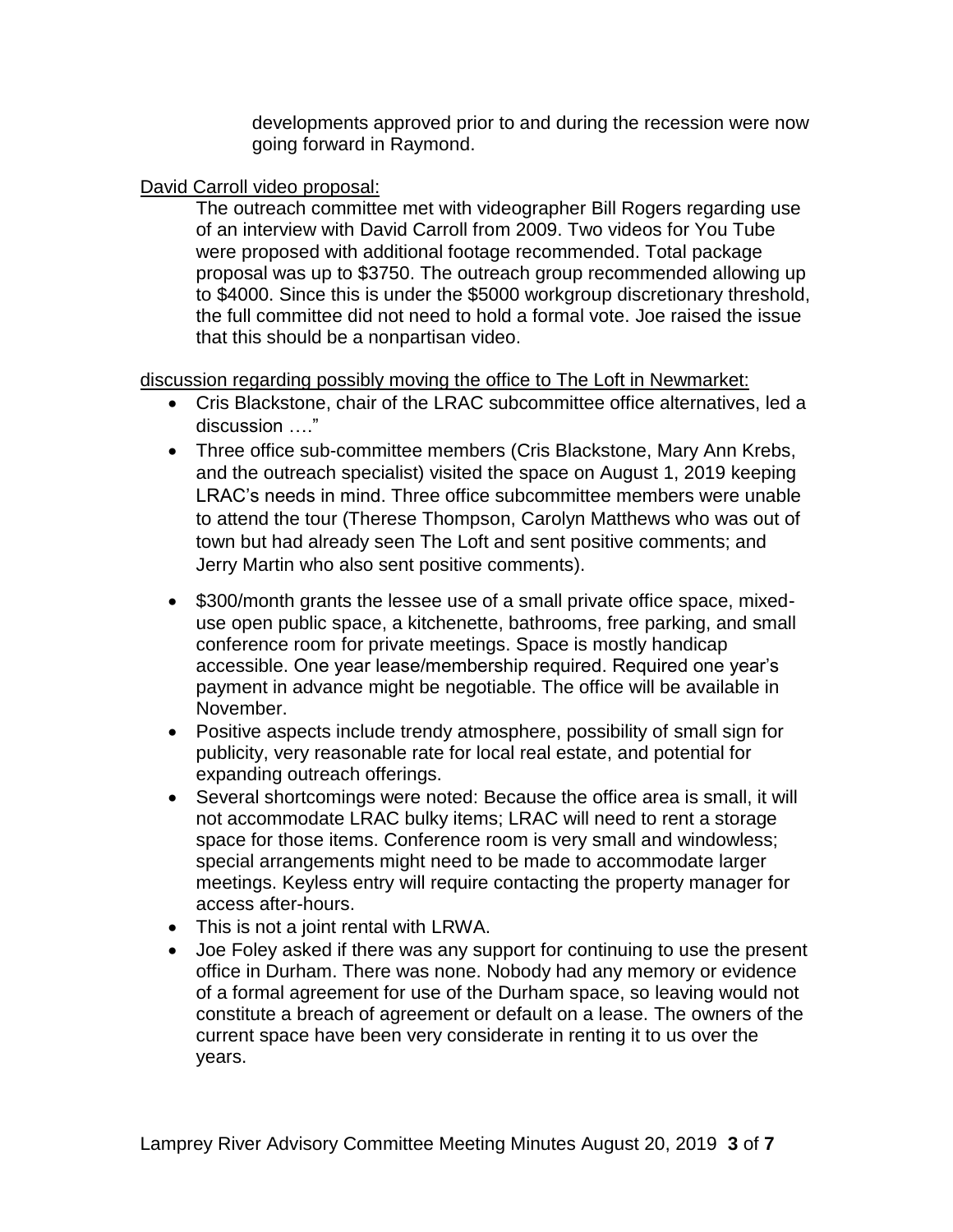developments approved prior to and during the recession were now going forward in Raymond.

# David Carroll video proposal:

The outreach committee met with videographer Bill Rogers regarding use of an interview with David Carroll from 2009. Two videos for You Tube were proposed with additional footage recommended. Total package proposal was up to \$3750. The outreach group recommended allowing up to \$4000. Since this is under the \$5000 workgroup discretionary threshold, the full committee did not need to hold a formal vote. Joe raised the issue that this should be a nonpartisan video.

discussion regarding possibly moving the office to The Loft in Newmarket:

- Cris Blackstone, chair of the LRAC subcommittee office alternatives, led a discussion …."
- Three office sub-committee members (Cris Blackstone, Mary Ann Krebs, and the outreach specialist) visited the space on August 1, 2019 keeping LRAC's needs in mind. Three office subcommittee members were unable to attend the tour (Therese Thompson, Carolyn Matthews who was out of town but had already seen The Loft and sent positive comments; and Jerry Martin who also sent positive comments).
- \$300/month grants the lessee use of a small private office space, mixeduse open public space, a kitchenette, bathrooms, free parking, and small conference room for private meetings. Space is mostly handicap accessible. One year lease/membership required. Required one year's payment in advance might be negotiable. The office will be available in November.
- Positive aspects include trendy atmosphere, possibility of small sign for publicity, very reasonable rate for local real estate, and potential for expanding outreach offerings.
- Several shortcomings were noted: Because the office area is small, it will not accommodate LRAC bulky items; LRAC will need to rent a storage space for those items. Conference room is very small and windowless; special arrangements might need to be made to accommodate larger meetings. Keyless entry will require contacting the property manager for access after-hours.
- This is not a joint rental with LRWA.
- Joe Foley asked if there was any support for continuing to use the present office in Durham. There was none. Nobody had any memory or evidence of a formal agreement for use of the Durham space, so leaving would not constitute a breach of agreement or default on a lease. The owners of the current space have been very considerate in renting it to us over the years.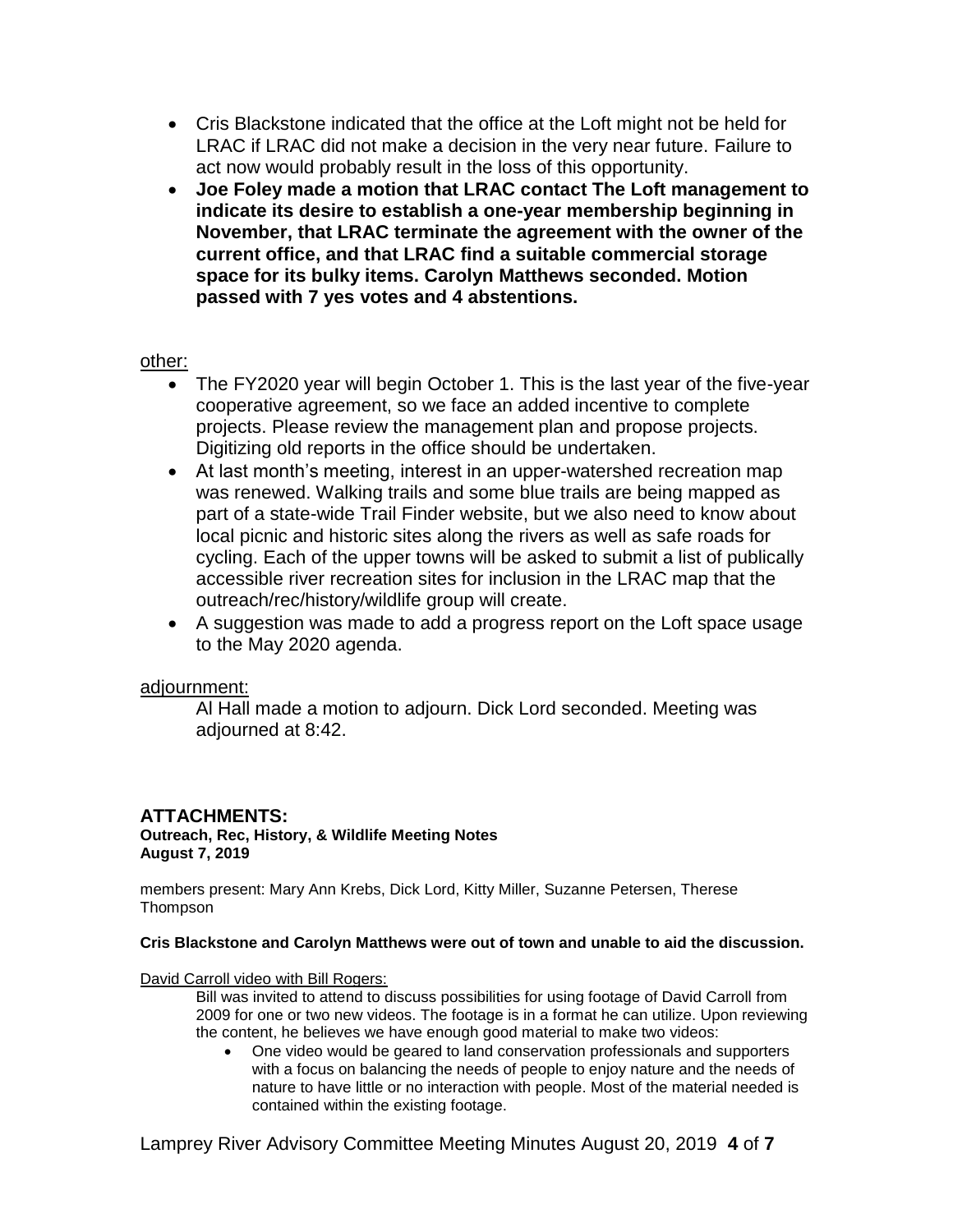- Cris Blackstone indicated that the office at the Loft might not be held for LRAC if LRAC did not make a decision in the very near future. Failure to act now would probably result in the loss of this opportunity.
- **Joe Foley made a motion that LRAC contact The Loft management to indicate its desire to establish a one-year membership beginning in November, that LRAC terminate the agreement with the owner of the current office, and that LRAC find a suitable commercial storage space for its bulky items. Carolyn Matthews seconded. Motion passed with 7 yes votes and 4 abstentions.**

## other:

- The FY2020 year will begin October 1. This is the last year of the five-year cooperative agreement, so we face an added incentive to complete projects. Please review the management plan and propose projects. Digitizing old reports in the office should be undertaken.
- At last month's meeting, interest in an upper-watershed recreation map was renewed. Walking trails and some blue trails are being mapped as part of a state-wide Trail Finder website, but we also need to know about local picnic and historic sites along the rivers as well as safe roads for cycling. Each of the upper towns will be asked to submit a list of publically accessible river recreation sites for inclusion in the LRAC map that the outreach/rec/history/wildlife group will create.
- A suggestion was made to add a progress report on the Loft space usage to the May 2020 agenda.

## adjournment:

Al Hall made a motion to adjourn. Dick Lord seconded. Meeting was adjourned at 8:42.

# **ATTACHMENTS:**

**Outreach, Rec, History, & Wildlife Meeting Notes August 7, 2019**

members present: Mary Ann Krebs, Dick Lord, Kitty Miller, Suzanne Petersen, Therese **Thompson** 

## **Cris Blackstone and Carolyn Matthews were out of town and unable to aid the discussion.**

David Carroll video with Bill Rogers:

Bill was invited to attend to discuss possibilities for using footage of David Carroll from 2009 for one or two new videos. The footage is in a format he can utilize. Upon reviewing the content, he believes we have enough good material to make two videos:

 One video would be geared to land conservation professionals and supporters with a focus on balancing the needs of people to enjoy nature and the needs of nature to have little or no interaction with people. Most of the material needed is contained within the existing footage.

Lamprey River Advisory Committee Meeting Minutes August 20, 2019 **4** of **7**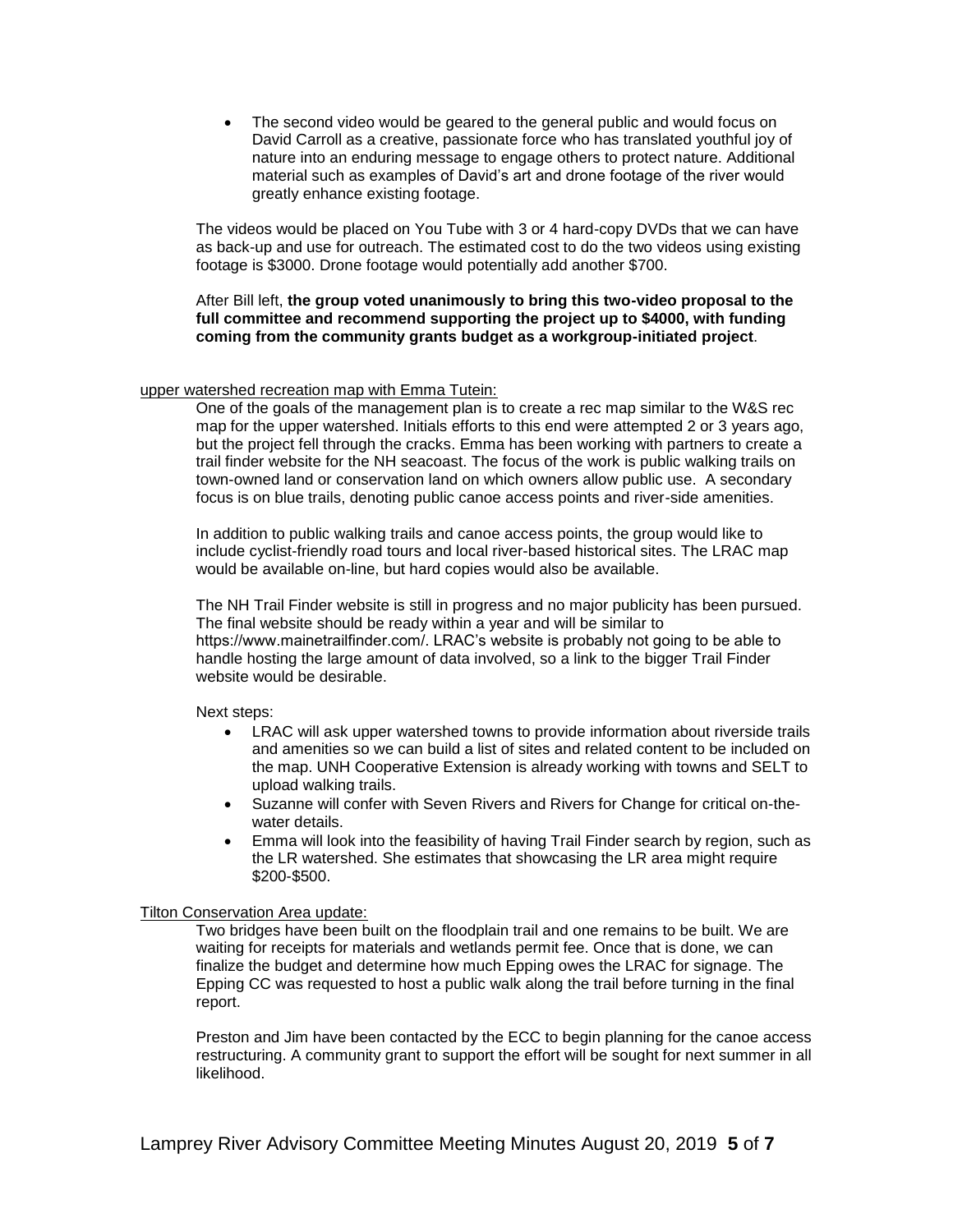The second video would be geared to the general public and would focus on David Carroll as a creative, passionate force who has translated youthful joy of nature into an enduring message to engage others to protect nature. Additional material such as examples of David's art and drone footage of the river would greatly enhance existing footage.

The videos would be placed on You Tube with 3 or 4 hard-copy DVDs that we can have as back-up and use for outreach. The estimated cost to do the two videos using existing footage is \$3000. Drone footage would potentially add another \$700.

After Bill left, **the group voted unanimously to bring this two-video proposal to the full committee and recommend supporting the project up to \$4000, with funding coming from the community grants budget as a workgroup-initiated project**.

#### upper watershed recreation map with Emma Tutein:

One of the goals of the management plan is to create a rec map similar to the W&S rec map for the upper watershed. Initials efforts to this end were attempted 2 or 3 years ago, but the project fell through the cracks. Emma has been working with partners to create a trail finder website for the NH seacoast. The focus of the work is public walking trails on town-owned land or conservation land on which owners allow public use. A secondary focus is on blue trails, denoting public canoe access points and river-side amenities.

In addition to public walking trails and canoe access points, the group would like to include cyclist-friendly road tours and local river-based historical sites. The LRAC map would be available on-line, but hard copies would also be available.

The NH Trail Finder website is still in progress and no major publicity has been pursued. The final website should be ready within a year and will be similar to https://www.mainetrailfinder.com/. LRAC's website is probably not going to be able to handle hosting the large amount of data involved, so a link to the bigger Trail Finder website would be desirable.

Next steps:

- LRAC will ask upper watershed towns to provide information about riverside trails and amenities so we can build a list of sites and related content to be included on the map. UNH Cooperative Extension is already working with towns and SELT to upload walking trails.
- Suzanne will confer with Seven Rivers and Rivers for Change for critical on-thewater details.
- Emma will look into the feasibility of having Trail Finder search by region, such as the LR watershed. She estimates that showcasing the LR area might require \$200-\$500.

#### Tilton Conservation Area update:

Two bridges have been built on the floodplain trail and one remains to be built. We are waiting for receipts for materials and wetlands permit fee. Once that is done, we can finalize the budget and determine how much Epping owes the LRAC for signage. The Epping CC was requested to host a public walk along the trail before turning in the final report.

Preston and Jim have been contacted by the ECC to begin planning for the canoe access restructuring. A community grant to support the effort will be sought for next summer in all likelihood.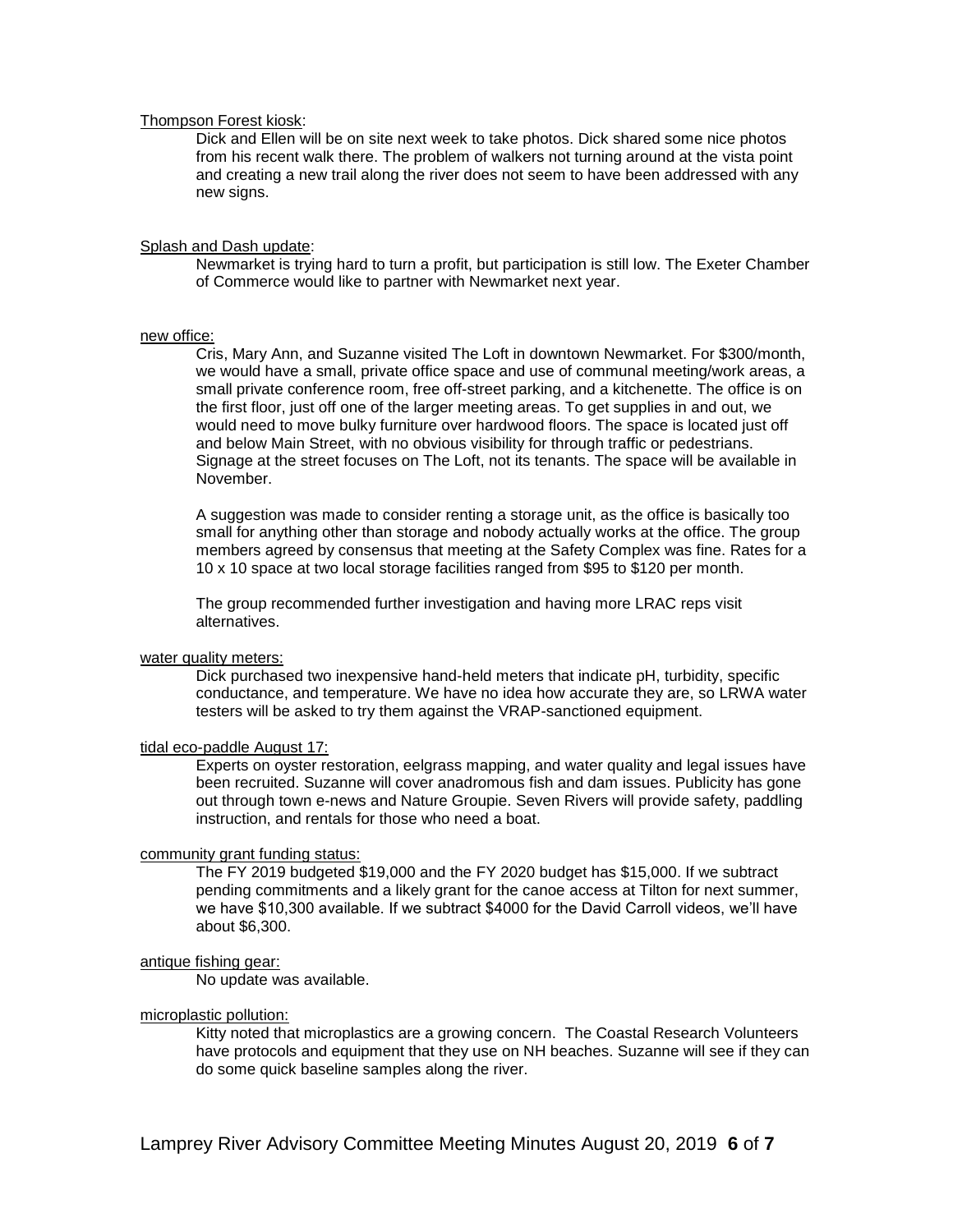#### Thompson Forest kiosk:

Dick and Ellen will be on site next week to take photos. Dick shared some nice photos from his recent walk there. The problem of walkers not turning around at the vista point and creating a new trail along the river does not seem to have been addressed with any new signs.

#### Splash and Dash update:

Newmarket is trying hard to turn a profit, but participation is still low. The Exeter Chamber of Commerce would like to partner with Newmarket next year.

#### new office:

Cris, Mary Ann, and Suzanne visited The Loft in downtown Newmarket. For \$300/month, we would have a small, private office space and use of communal meeting/work areas, a small private conference room, free off-street parking, and a kitchenette. The office is on the first floor, just off one of the larger meeting areas. To get supplies in and out, we would need to move bulky furniture over hardwood floors. The space is located just off and below Main Street, with no obvious visibility for through traffic or pedestrians. Signage at the street focuses on The Loft, not its tenants. The space will be available in November.

A suggestion was made to consider renting a storage unit, as the office is basically too small for anything other than storage and nobody actually works at the office. The group members agreed by consensus that meeting at the Safety Complex was fine. Rates for a 10 x 10 space at two local storage facilities ranged from \$95 to \$120 per month.

The group recommended further investigation and having more LRAC reps visit alternatives.

### water quality meters:

Dick purchased two inexpensive hand-held meters that indicate pH, turbidity, specific conductance, and temperature. We have no idea how accurate they are, so LRWA water testers will be asked to try them against the VRAP-sanctioned equipment.

#### tidal eco-paddle August 17:

Experts on oyster restoration, eelgrass mapping, and water quality and legal issues have been recruited. Suzanne will cover anadromous fish and dam issues. Publicity has gone out through town e-news and Nature Groupie. Seven Rivers will provide safety, paddling instruction, and rentals for those who need a boat.

### community grant funding status:

The FY 2019 budgeted \$19,000 and the FY 2020 budget has \$15,000. If we subtract pending commitments and a likely grant for the canoe access at Tilton for next summer, we have \$10,300 available. If we subtract \$4000 for the David Carroll videos, we'll have about \$6,300.

### antique fishing gear:

No update was available.

#### microplastic pollution:

Kitty noted that microplastics are a growing concern. The Coastal Research Volunteers have protocols and equipment that they use on NH beaches. Suzanne will see if they can do some quick baseline samples along the river.